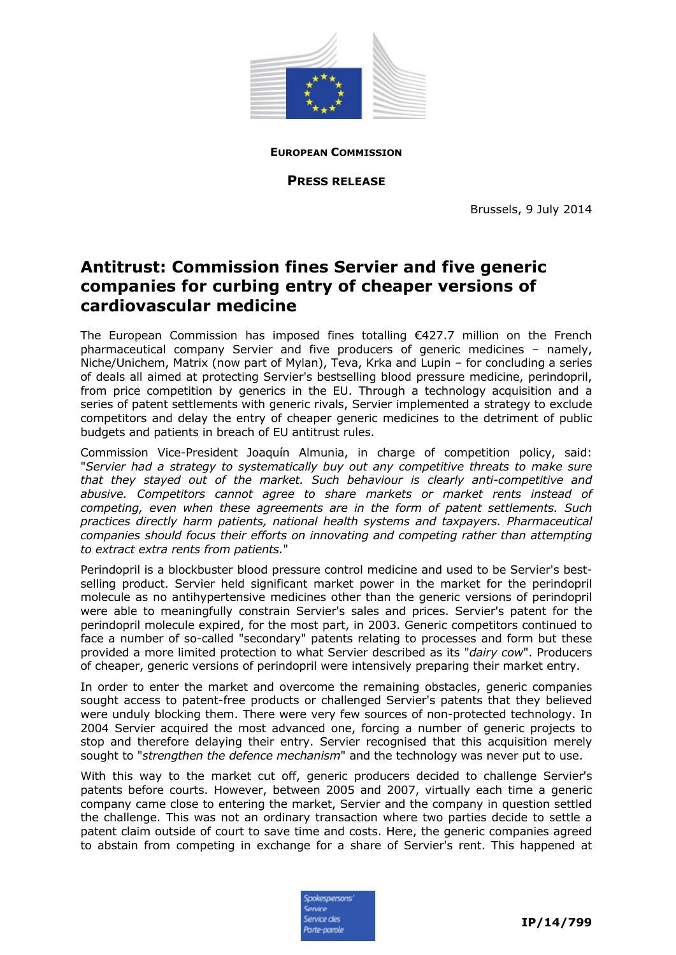

**EUROPEAN COMMISSION**

**PRESS RELEASE**

Brussels, 9 July 2014

## **Antitrust: Commission fines Servier and five generic companies for curbing entry of cheaper versions of cardiovascular medicine**

The European Commission has imposed fines totalling €427.7 million on the French pharmaceutical company Servier and five producers of generic medicines – namely, Niche/Unichem, Matrix (now part of Mylan), Teva, Krka and Lupin – for concluding a series of deals all aimed at protecting Servier's bestselling blood pressure medicine, perindopril, from price competition by generics in the EU. Through a technology acquisition and a series of patent settlements with generic rivals, Servier implemented a strategy to exclude competitors and delay the entry of cheaper generic medicines to the detriment of public budgets and patients in breach of EU antitrust rules.

Commission Vice-President Joaquín Almunia, in charge of competition policy, said: "*Servier had a strategy to systematically buy out any competitive threats to make sure that they stayed out of the market. Such behaviour is clearly anti-competitive and abusive. Competitors cannot agree to share markets or market rents instead of competing, even when these agreements are in the form of patent settlements. Such practices directly harm patients, national health systems and taxpayers. Pharmaceutical companies should focus their efforts on innovating and competing rather than attempting to extract extra rents from patients.*"

Perindopril is a blockbuster blood pressure control medicine and used to be Servier's bestselling product. Servier held significant market power in the market for the perindopril molecule as no antihypertensive medicines other than the generic versions of perindopril were able to meaningfully constrain Servier's sales and prices. Servier's patent for the perindopril molecule expired, for the most part, in 2003. Generic competitors continued to face a number of so-called "secondary" patents relating to processes and form but these provided a more limited protection to what Servier described as its "*dairy cow*". Producers of cheaper, generic versions of perindopril were intensively preparing their market entry.

In order to enter the market and overcome the remaining obstacles, generic companies sought access to patent-free products or challenged Servier's patents that they believed were unduly blocking them. There were very few sources of non-protected technology. In 2004 Servier acquired the most advanced one, forcing a number of generic projects to stop and therefore delaying their entry. Servier recognised that this acquisition merely sought to "*strengthen the defence mechanism*" and the technology was never put to use.

With this way to the market cut off, generic producers decided to challenge Servier's patents before courts. However, between 2005 and 2007, virtually each time a generic company came close to entering the market, Servier and the company in question settled the challenge. This was not an ordinary transaction where two parties decide to settle a patent claim outside of court to save time and costs. Here, the generic companies agreed to abstain from competing in exchange for a share of Servier's rent. This happened at

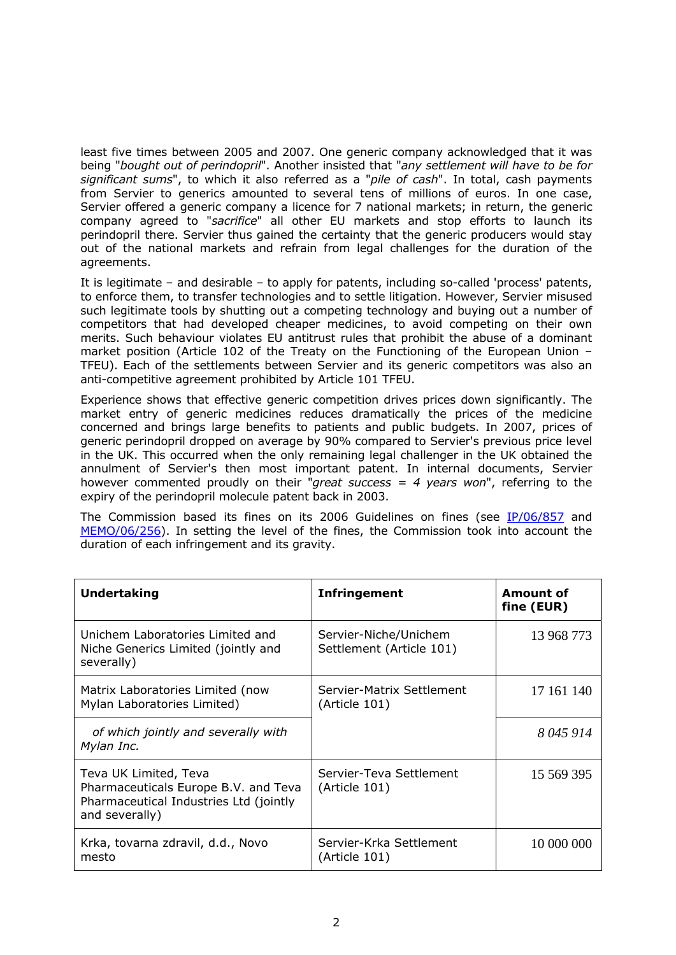least five times between 2005 and 2007. One generic company acknowledged that it was being "*bought out of perindopril*". Another insisted that "*any settlement will have to be for significant sums*", to which it also referred as a "*pile of cash*". In total, cash payments from Servier to generics amounted to several tens of millions of euros. In one case, Servier offered a generic company a licence for 7 national markets; in return, the generic company agreed to "*sacrifice*" all other EU markets and stop efforts to launch its perindopril there. Servier thus gained the certainty that the generic producers would stay out of the national markets and refrain from legal challenges for the duration of the agreements.

It is legitimate – and desirable – to apply for patents, including so-called 'process' patents, to enforce them, to transfer technologies and to settle litigation. However, Servier misused such legitimate tools by shutting out a competing technology and buying out a number of competitors that had developed cheaper medicines, to avoid competing on their own merits. Such behaviour violates EU antitrust rules that prohibit the abuse of a dominant market position (Article 102 of the Treaty on the Functioning of the European Union – TFEU). Each of the settlements between Servier and its generic competitors was also an anti-competitive agreement prohibited by Article 101 TFEU.

Experience shows that effective generic competition drives prices down significantly. The market entry of generic medicines reduces dramatically the prices of the medicine concerned and brings large benefits to patients and public budgets. In 2007, prices of generic perindopril dropped on average by 90% compared to Servier's previous price level in the UK. This occurred when the only remaining legal challenger in the UK obtained the annulment of Servier's then most important patent. In internal documents, Servier however commented proudly on their "*great success = 4 years won*", referring to the expiry of the perindopril molecule patent back in 2003.

The Commission based its fines on its 2006 Guidelines on fines (see [IP/06/857](http://europa.eu/rapid/press-release_IP-06-857_fr.htm) and [MEMO/06/256\)](http://europa.eu/rapid/press-release_MEMO-06-256_en.htm). In setting the level of the fines, the Commission took into account the duration of each infringement and its gravity.

| <b>Undertaking</b>                                                                                                        | <b>Infringement</b>                               | Amount of<br>fine (EUR) |
|---------------------------------------------------------------------------------------------------------------------------|---------------------------------------------------|-------------------------|
| Unichem Laboratories Limited and<br>Niche Generics Limited (jointly and<br>severally)                                     | Servier-Niche/Unichem<br>Settlement (Article 101) | 13 968 773              |
| Matrix Laboratories Limited (now<br>Mylan Laboratories Limited)                                                           | Servier-Matrix Settlement<br>(Article 101)        | 17 161 140              |
| of which jointly and severally with<br>Mylan Inc.                                                                         |                                                   | 8045914                 |
| Teva UK Limited, Teva<br>Pharmaceuticals Europe B.V. and Teva<br>Pharmaceutical Industries Ltd (jointly<br>and severally) | Servier-Teva Settlement<br>(Article 101)          | 15 569 395              |
| Krka, tovarna zdravil, d.d., Novo<br>mesto                                                                                | Servier-Krka Settlement<br>(Article 101)          | 10 000 000              |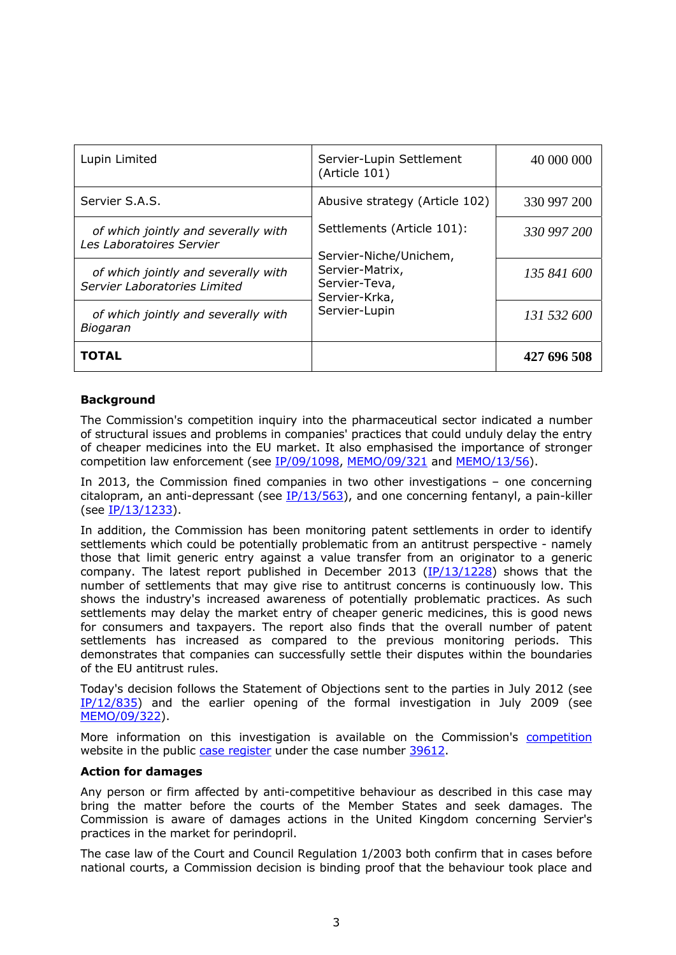| Lupin Limited                                                       | Servier-Lupin Settlement<br>(Article 101)                                                                                  | 40 000 000  |
|---------------------------------------------------------------------|----------------------------------------------------------------------------------------------------------------------------|-------------|
| Servier S.A.S.                                                      | Abusive strategy (Article 102)                                                                                             | 330 997 200 |
| of which jointly and severally with<br>Les Laboratoires Servier     | Settlements (Article 101):<br>Servier-Niche/Unichem,<br>Servier-Matrix,<br>Servier-Teva,<br>Servier-Krka,<br>Servier-Lupin | 330 997 200 |
| of which jointly and severally with<br>Servier Laboratories Limited |                                                                                                                            | 135 841 600 |
| of which jointly and severally with<br>Biogaran                     |                                                                                                                            | 131 532 600 |
| TOTAL                                                               |                                                                                                                            | 427 696 508 |

## **Background**

The Commission's competition inquiry into the pharmaceutical sector indicated a number of structural issues and problems in companies' practices that could unduly delay the entry of cheaper medicines into the EU market. It also emphasised the importance of stronger competition law enforcement (see [IP/09/1098,](http://europa.eu/rapid/press-release_IP-09-1098_fr.htm?locale=fr) [MEMO/09/321 a](http://europa.eu/rapid/press-release_MEMO-09-321_en.htm)nd [MEMO/13/56\).](http://europa.eu/rapid/press-release_MEMO-13-56_en.htm)

In 2013, the Commission fined companies in two other investigations – one concerning citalopram, an anti-depressant (see  $IP/13/563$ ), and one concerning fentanyl, a pain-killer (see [IP/13/1233\)](http://europa.eu/rapid/press-release_IP-13-1233_en.htm).

In addition, the Commission has been monitoring patent settlements in order to identify settlements which could be potentially problematic from an antitrust perspective - namely those that limit generic entry against a value transfer from an originator to a generic company. The latest report published in December 2013 ( $IP/13/1228$ ) shows that the number of settlements that may give rise to antitrust concerns is continuously low. This shows the industry's increased awareness of potentially problematic practices. As such settlements may delay the market entry of cheaper generic medicines, this is good news for consumers and taxpayers. The report also finds that the overall number of patent settlements has increased as compared to the previous monitoring periods. This demonstrates that companies can successfully settle their disputes within the boundaries of the EU antitrust rules.

Today's decision follows the Statement of Objections sent to the parties in July 2012 (see [IP/12/835\)](http://europa.eu/rapid/press-release_IP-12-835_en.htm) and the earlier opening of the formal investigation in July 2009 (see [MEMO/09/322\)](http://europa.eu/rapid/press-release_MEMO-09-322_en.htm?locale=en).

More information on this investigation is available on the Commission's [competition](http://ec.europa.eu/competition/index_en.html) website in the public [case register u](http://ec.europa.eu/competition/elojade/isef/index.cfm)nder the case number [39612.](http://ec.europa.eu/competition/elojade/isef/case_details.cfm?proc_code=1_39612) 

## **Action for damages**

Any person or firm affected by anti-competitive behaviour as described in this case may bring the matter before the courts of the Member States and seek damages. The Commission is aware of damages actions in the United Kingdom concerning Servier's practices in the market for perindopril.

The case law of the Court and Council Regulation 1/2003 both confirm that in cases before national courts, a Commission decision is binding proof that the behaviour took place and